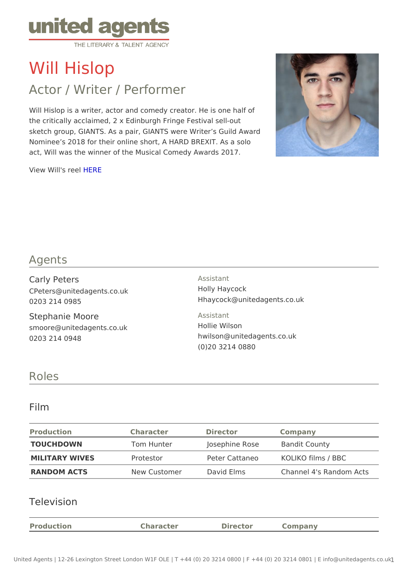# Will Hislop

# Actor / Writer / Performer

Will Hislop is a writer, actor and comedy creator. He is one half of the critically acclaimed, 2 x Edinburgh Fringe Festival sell-out sketch group, GIANTS. As a pair, GIANTS were Writer s Guild Award Nominee s 2018 for their online short, A HARD BREXIT. As a solo act, Will was the winner of the Musical Comedy Awards 2017.

View Will's [HER](https://vimeo.com/284706761)IE

### Agents

| Carly Peters                                                  | Assistant                                                                      |
|---------------------------------------------------------------|--------------------------------------------------------------------------------|
| CPeters@unitedagents.co.uk                                    | Holly Haycock                                                                  |
| 0203 214 0985                                                 | Hhaycock@unitedagents.co.uk                                                    |
| Stephanie Moore<br>smoore@unitedagents.co.uk<br>0203 214 0948 | Assistant<br>Hollie Wilson<br>hwilson@unitedagents.co.uk<br>$(0)$ 20 3214 0880 |

#### Roles

#### Film

| Production     | Character               | Director | Company                           |  |
|----------------|-------------------------|----------|-----------------------------------|--|
| TOUCHDOWN      | Tom Hunter              |          | Josephine RoseBandit County       |  |
| MILITARY WIVES | Protestor               |          | Peter Cattaneo KOLIKO films / BBC |  |
| RANDOM ACTS    | New Customer David Elms |          | Channel 4's Random Acts           |  |

#### Television

| Production<br>Director<br>Character<br>Companv |
|------------------------------------------------|
|------------------------------------------------|